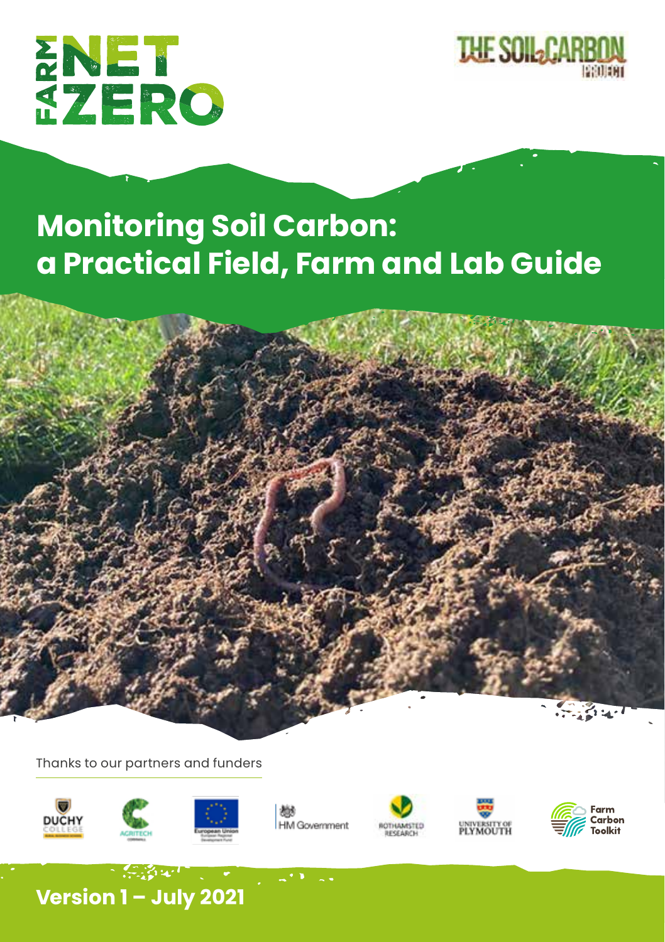



# **Monitoring Soil Carbon: a Practical Field, Farm and Lab Guide**



Thanks to our partners and funders













 $\sim 10^{12}$  ,  $\sim 10^{11}$  ,  $\sim$ **Version 1 – July 2021**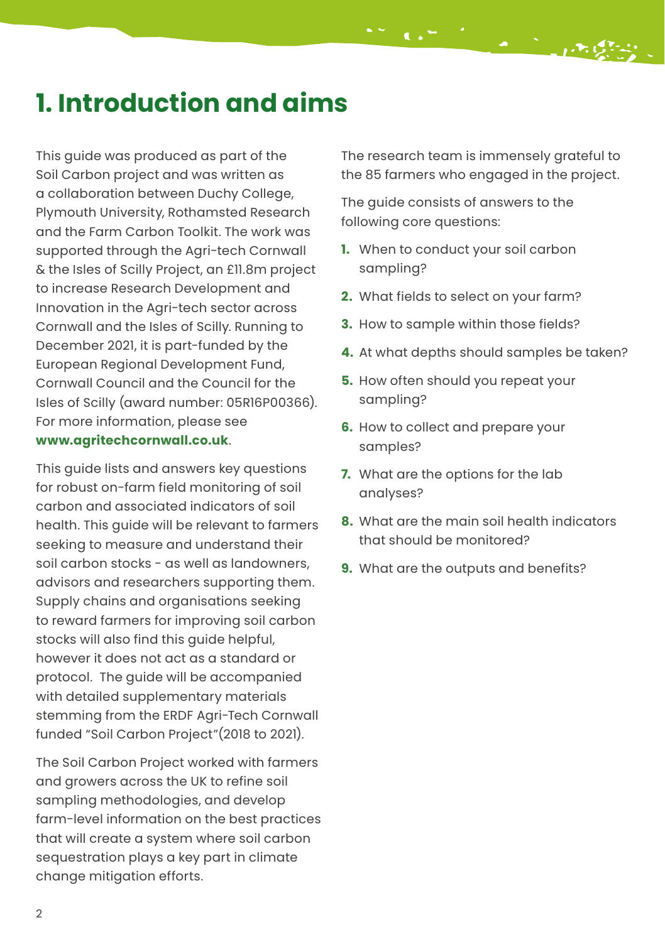### **1. Introduction and aims**

This guide was produced as part of the Soil Carbon project and was written as a collaboration between Duchy College, Plymouth University, Rothamsted Research and the Farm Carbon Toolkit. The work was supported through the Agri-tech Cornwall & the Isles of Scilly Project, an £11.8m project to increase Research Development and Innovation in the Agri-tech sector across Cornwall and the Isles of Scilly. Running to December 2021, it is part-funded by the European Regional Development Fund, Cornwall Council and the Council for the Isles of Scilly (award number: 05R16P00366). For more information, please see **[www.agritechcornwall.co.uk](http://www.agritechcornwall.co.uk)**.

This guide lists and answers key questions for robust on-farm field monitoring of soil carbon and associated indicators of soil health. This guide will be relevant to farmers seeking to measure and understand their soil carbon stocks - as well as landowners, advisors and researchers supporting them. Supply chains and organisations seeking to reward farmers for improving soil carbon stocks will also find this guide helpful, however it does not act as a standard or protocol. The guide will be accompanied with detailed supplementary materials stemming from the ERDF Agri-Tech Cornwall funded "Soil Carbon Project"(2018 to 2021).

The Soil Carbon Project worked with farmers and growers across the UK to refine soil sampling methodologies, and develop farm-level information on the best practices that will create a system where soil carbon sequestration plays a key part in climate change mitigation efforts.

The research team is immensely grateful to the 85 farmers who engaged in the project.

The guide consists of answers to the following core questions:

- **1.** When to conduct your soil carbon sampling?
- **2.** What fields to select on your farm?
- **3.** How to sample within those fields?
- **4.** At what depths should samples be taken?
- **5.** How often should you repeat your sampling?
- **6.** How to collect and prepare your samples?
- **7.** What are the options for the lab analyses?
- **8.** What are the main soil health indicators that should be monitored?
- **9.** What are the outputs and benefits?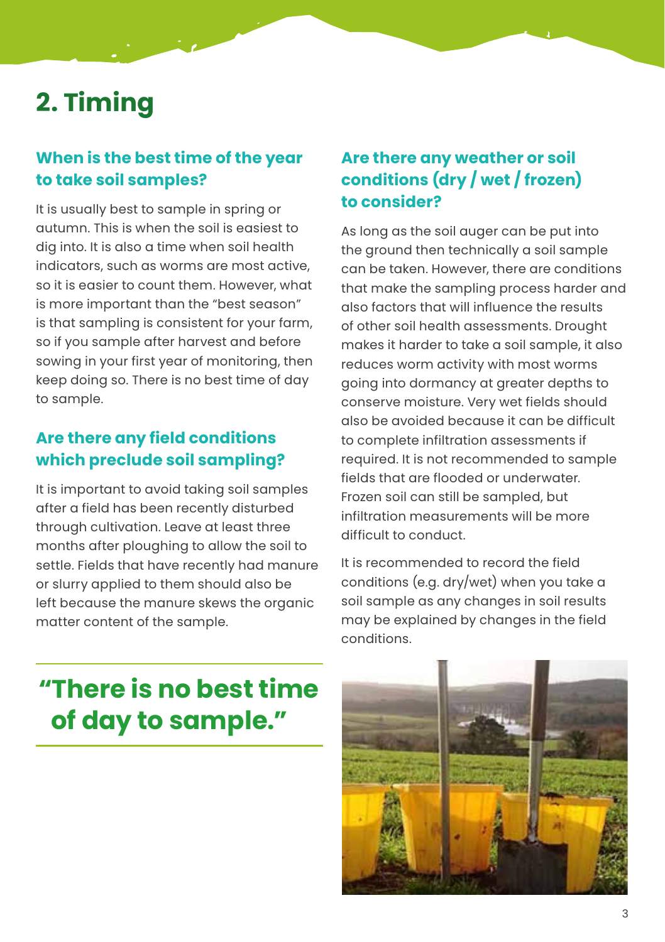## **2. Timing**

#### **When is the best time of the year to take soil samples?**

It is usually best to sample in spring or autumn. This is when the soil is easiest to dig into. It is also a time when soil health indicators, such as worms are most active, so it is easier to count them. However, what is more important than the "best season" is that sampling is consistent for your farm, so if you sample after harvest and before sowing in your first year of monitoring, then keep doing so. There is no best time of day to sample.

#### **Are there any field conditions which preclude soil sampling?**

It is important to avoid taking soil samples after a field has been recently disturbed through cultivation. Leave at least three months after ploughing to allow the soil to settle. Fields that have recently had manure or slurry applied to them should also be left because the manure skews the organic matter content of the sample.

#### **Are there any weather or soil conditions (dry / wet / frozen) to consider?**

As long as the soil auger can be put into the ground then technically a soil sample can be taken. However, there are conditions that make the sampling process harder and also factors that will influence the results of other soil health assessments. Drought makes it harder to take a soil sample, it also reduces worm activity with most worms going into dormancy at greater depths to conserve moisture. Very wet fields should also be avoided because it can be difficult to complete infiltration assessments if required. It is not recommended to sample fields that are flooded or underwater. Frozen soil can still be sampled, but infiltration measurements will be more difficult to conduct.

It is recommended to record the field conditions (e.g. dry/wet) when you take a soil sample as any changes in soil results may be explained by changes in the field conditions.

## **"There is no best time of day to sample."**

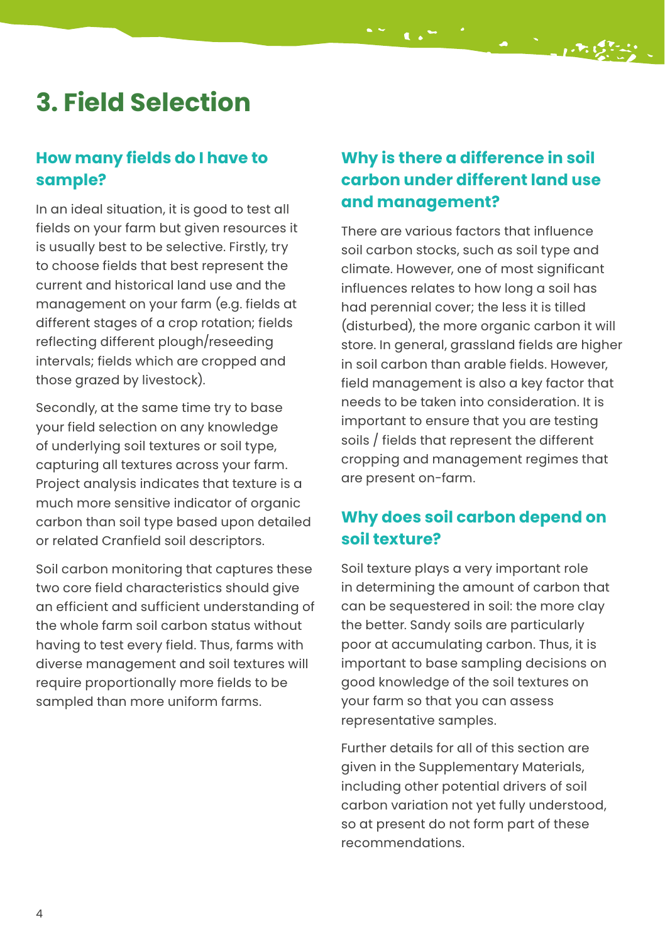## **3. Field Selection**

#### **How many fields do I have to sample?**

In an ideal situation, it is good to test all fields on your farm but given resources it is usually best to be selective. Firstly, try to choose fields that best represent the current and historical land use and the management on your farm (e.g. fields at different stages of a crop rotation; fields reflecting different plough/reseeding intervals; fields which are cropped and those grazed by livestock).

Secondly, at the same time try to base your field selection on any knowledge of underlying soil textures or soil type, capturing all textures across your farm. Project analysis indicates that texture is a much more sensitive indicator of organic carbon than soil type based upon detailed or related Cranfield soil descriptors.

Soil carbon monitoring that captures these two core field characteristics should give an efficient and sufficient understanding of the whole farm soil carbon status without having to test every field. Thus, farms with diverse management and soil textures will require proportionally more fields to be sampled than more uniform farms.

#### **Why is there a difference in soil carbon under different land use and management?**

There are various factors that influence soil carbon stocks, such as soil type and climate. However, one of most significant influences relates to how long a soil has had perennial cover; the less it is tilled (disturbed), the more organic carbon it will store. In general, grassland fields are higher in soil carbon than arable fields. However, field management is also a key factor that needs to be taken into consideration. It is important to ensure that you are testing soils / fields that represent the different cropping and management regimes that are present on-farm.

#### **Why does soil carbon depend on soil texture?**

Soil texture plays a very important role in determining the amount of carbon that can be sequestered in soil: the more clay the better. Sandy soils are particularly poor at accumulating carbon. Thus, it is important to base sampling decisions on good knowledge of the soil textures on your farm so that you can assess representative samples.

Further details for all of this section are given in the Supplementary Materials, including other potential drivers of soil carbon variation not yet fully understood, so at present do not form part of these recommendations.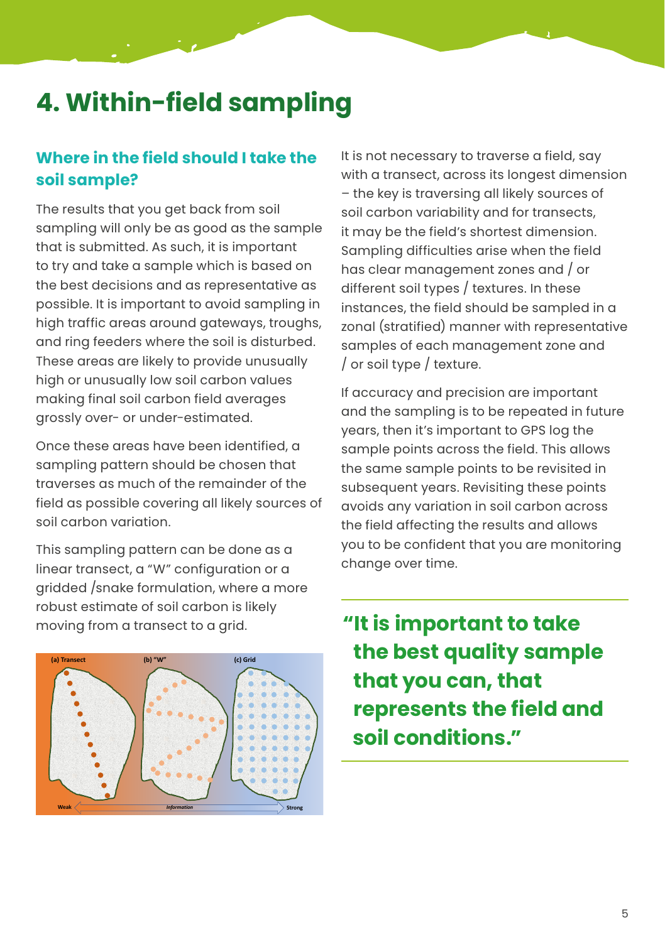## **4. Within-field sampling**

#### **Where in the field should I take the soil sample?**

The results that you get back from soil sampling will only be as good as the sample that is submitted. As such, it is important to try and take a sample which is based on the best decisions and as representative as possible. It is important to avoid sampling in high traffic areas around gateways, troughs, and ring feeders where the soil is disturbed. These areas are likely to provide unusually high or unusually low soil carbon values making final soil carbon field averages grossly over- or under-estimated.

Once these areas have been identified, a sampling pattern should be chosen that traverses as much of the remainder of the field as possible covering all likely sources of soil carbon variation.

This sampling pattern can be done as a linear transect, a "W" configuration or a gridded /snake formulation, where a more robust estimate of soil carbon is likely moving from a transect to a grid.



It is not necessary to traverse a field, say with a transect, across its longest dimension – the key is traversing all likely sources of soil carbon variability and for transects, it may be the field's shortest dimension. Sampling difficulties arise when the field has clear management zones and / or different soil types / textures. In these instances, the field should be sampled in a zonal (stratified) manner with representative samples of each management zone and / or soil type / texture.

If accuracy and precision are important and the sampling is to be repeated in future years, then it's important to GPS log the sample points across the field. This allows the same sample points to be revisited in subsequent years. Revisiting these points avoids any variation in soil carbon across the field affecting the results and allows you to be confident that you are monitoring change over time.

**"It is important to take the best quality sample that you can, that represents the field and soil conditions."**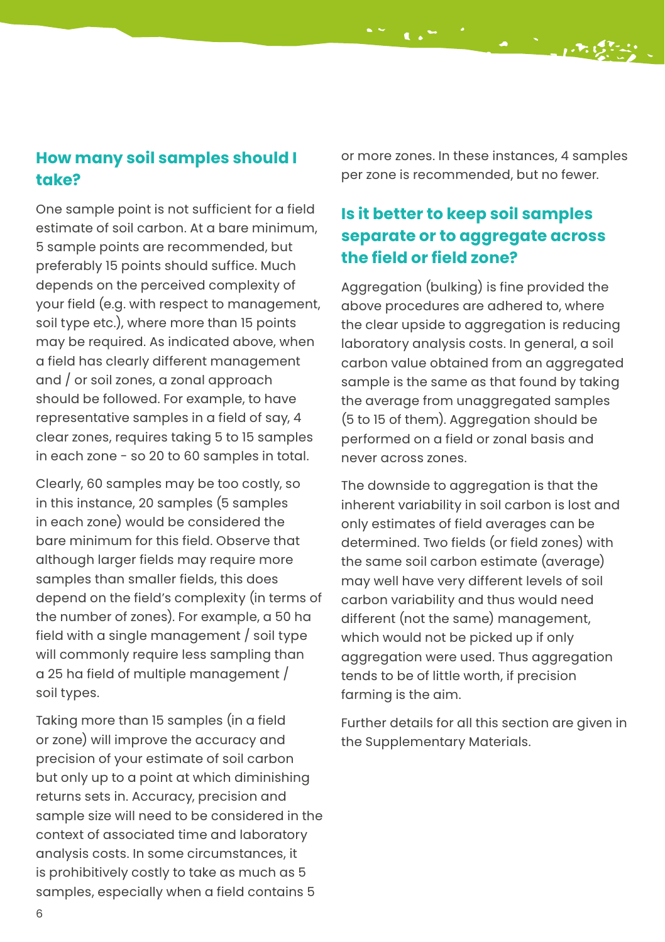#### **How many soil samples should I take?**

One sample point is not sufficient for a field estimate of soil carbon. At a bare minimum, 5 sample points are recommended, but preferably 15 points should suffice. Much depends on the perceived complexity of your field (e.g. with respect to management, soil type etc.), where more than 15 points may be required. As indicated above, when a field has clearly different management and / or soil zones, a zonal approach should be followed. For example, to have representative samples in a field of say, 4 clear zones, requires taking 5 to 15 samples in each zone - so 20 to 60 samples in total.

Clearly, 60 samples may be too costly, so in this instance, 20 samples (5 samples in each zone) would be considered the bare minimum for this field. Observe that although larger fields may require more samples than smaller fields, this does depend on the field's complexity (in terms of the number of zones). For example, a 50 ha field with a single management / soil type will commonly require less sampling than a 25 ha field of multiple management / soil types.

Taking more than 15 samples (in a field or zone) will improve the accuracy and precision of your estimate of soil carbon but only up to a point at which diminishing returns sets in. Accuracy, precision and sample size will need to be considered in the context of associated time and laboratory analysis costs. In some circumstances, it is prohibitively costly to take as much as 5 samples, especially when a field contains 5

or more zones. In these instances, 4 samples per zone is recommended, but no fewer.

#### **Is it better to keep soil samples separate or to aggregate across the field or field zone?**

Aggregation (bulking) is fine provided the above procedures are adhered to, where the clear upside to aggregation is reducing laboratory analysis costs. In general, a soil carbon value obtained from an aggregated sample is the same as that found by taking the average from unaggregated samples (5 to 15 of them). Aggregation should be performed on a field or zonal basis and never across zones.

The downside to aggregation is that the inherent variability in soil carbon is lost and only estimates of field averages can be determined. Two fields (or field zones) with the same soil carbon estimate (average) may well have very different levels of soil carbon variability and thus would need different (not the same) management, which would not be picked up if only aggregation were used. Thus aggregation tends to be of little worth, if precision farming is the aim.

Further details for all this section are given in the Supplementary Materials.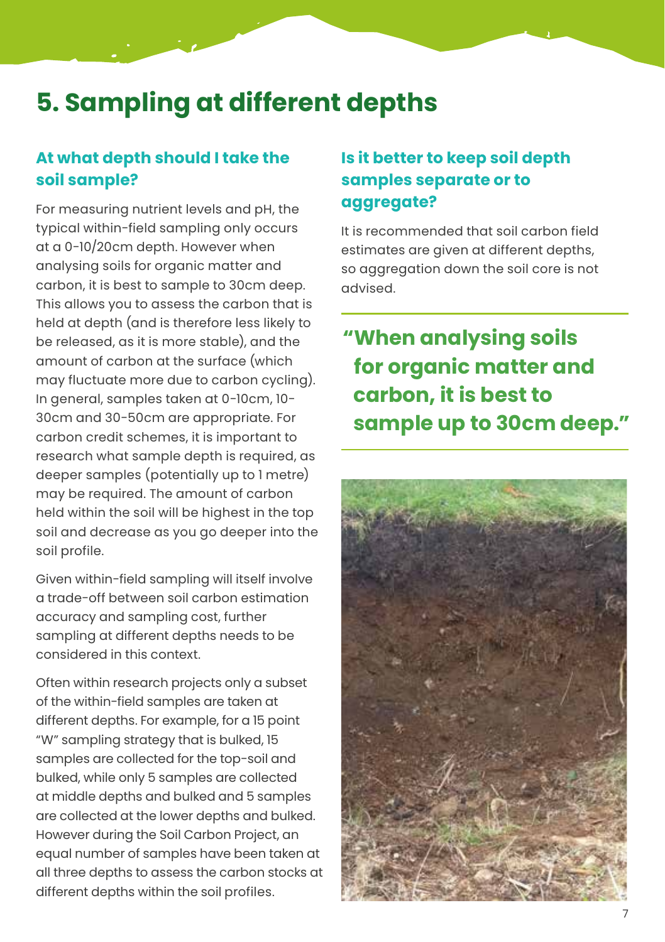### **5. Sampling at different depths**

#### **At what depth should I take the soil sample?**

For measuring nutrient levels and pH, the typical within-field sampling only occurs at a 0-10/20cm depth. However when analysing soils for organic matter and carbon, it is best to sample to 30cm deep. This allows you to assess the carbon that is held at depth (and is therefore less likely to be released, as it is more stable), and the amount of carbon at the surface (which may fluctuate more due to carbon cycling). In general, samples taken at 0-10cm, 10- 30cm and 30-50cm are appropriate. For carbon credit schemes, it is important to research what sample depth is required, as deeper samples (potentially up to 1 metre) may be required. The amount of carbon held within the soil will be highest in the top soil and decrease as you go deeper into the soil profile.

Given within-field sampling will itself involve a trade-off between soil carbon estimation accuracy and sampling cost, further sampling at different depths needs to be considered in this context.

Often within research projects only a subset of the within-field samples are taken at different depths. For example, for a 15 point "W" sampling strategy that is bulked, 15 samples are collected for the top-soil and bulked, while only 5 samples are collected at middle depths and bulked and 5 samples are collected at the lower depths and bulked. However during the Soil Carbon Project, an equal number of samples have been taken at all three depths to assess the carbon stocks at different depths within the soil profiles.

#### **Is it better to keep soil depth samples separate or to aggregate?**

It is recommended that soil carbon field estimates are given at different depths, so aggregation down the soil core is not advised.

### **"When analysing soils for organic matter and carbon, it is best to sample up to 30cm deep."**

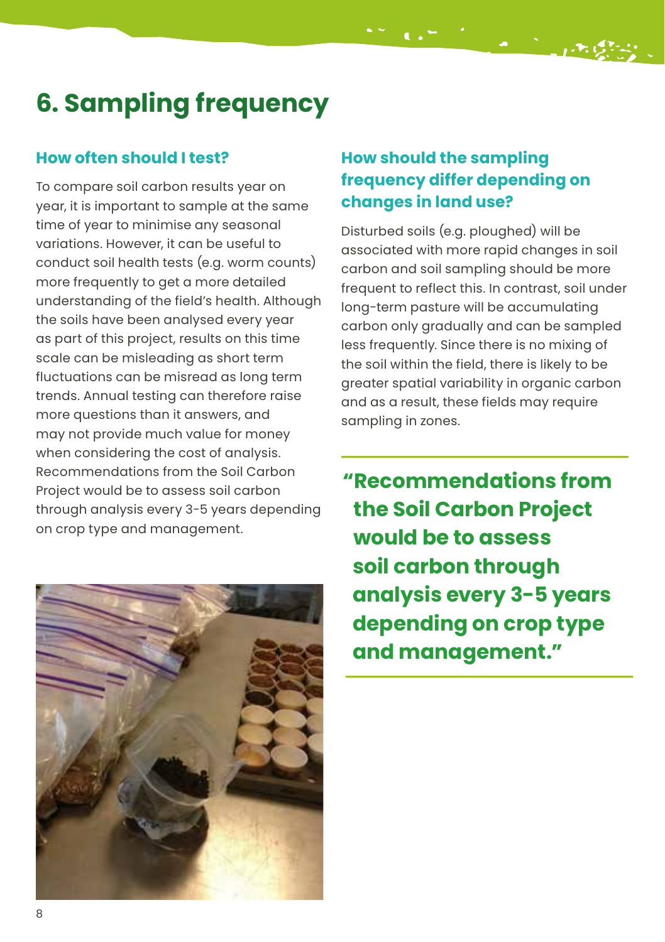# **6. Sampling frequency**

#### **How often should I test?**

To compare soil carbon results year on year, it is important to sample at the same time of year to minimise any seasonal variations. However, it can be useful to conduct soil health tests (e.g. worm counts) more frequently to get a more detailed understanding of the field's health. Although the soils have been analysed every year as part of this project, results on this time scale can be misleading as short term fluctuations can be misread as long term trends. Annual testing can therefore raise more questions than it answers, and may not provide much value for money when considering the cost of analysis. Recommendations from the Soil Carbon Project would be to assess soil carbon through analysis every 3-5 years depending on crop type and management.



#### **How should the sampling frequency differ depending on changes in land use?**

Disturbed soils (e.g. ploughed) will be associated with more rapid changes in soil carbon and soil sampling should be more frequent to reflect this. In contrast, soil under long-term pasture will be accumulating carbon only gradually and can be sampled less frequently. Since there is no mixing of the soil within the field, there is likely to be greater spatial variability in organic carbon and as a result, these fields may require sampling in zones.

**"Recommendations from the Soil Carbon Project would be to assess soil carbon through analysis every 3-5 years depending on crop type and management."**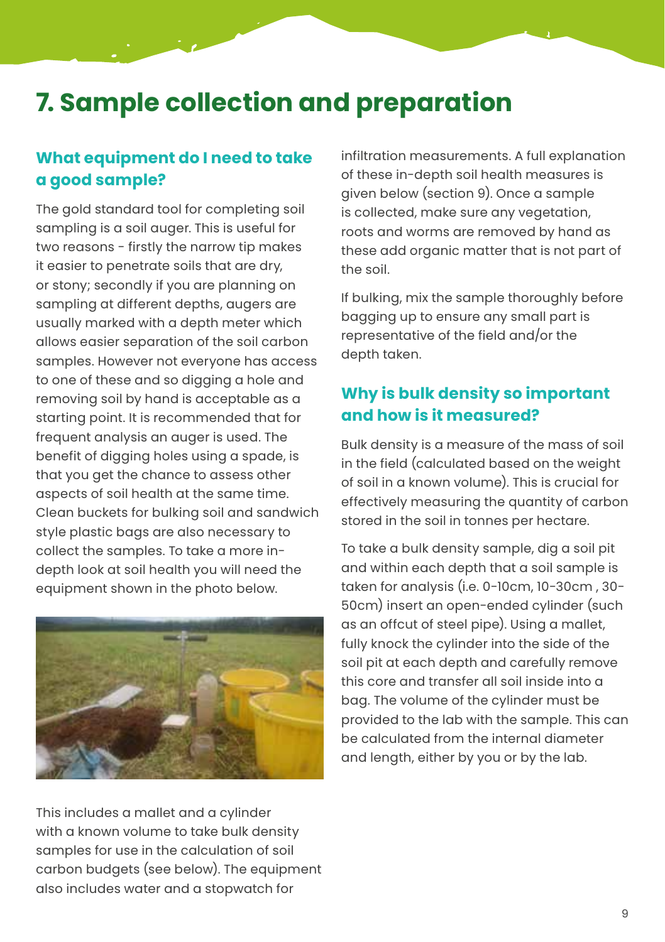### **7. Sample collection and preparation**

#### **What equipment do I need to take a good sample?**

The gold standard tool for completing soil sampling is a soil auger. This is useful for two reasons - firstly the narrow tip makes it easier to penetrate soils that are dry, or stony; secondly if you are planning on sampling at different depths, augers are usually marked with a depth meter which allows easier separation of the soil carbon samples. However not everyone has access to one of these and so digging a hole and removing soil by hand is acceptable as a starting point. It is recommended that for frequent analysis an auger is used. The benefit of digging holes using a spade, is that you get the chance to assess other aspects of soil health at the same time. Clean buckets for bulking soil and sandwich style plastic bags are also necessary to collect the samples. To take a more indepth look at soil health you will need the equipment shown in the photo below.



This includes a mallet and a cylinder with a known volume to take bulk density samples for use in the calculation of soil carbon budgets (see below). The equipment also includes water and a stopwatch for

infiltration measurements. A full explanation of these in-depth soil health measures is given below (section 9). Once a sample is collected, make sure any vegetation, roots and worms are removed by hand as these add organic matter that is not part of the soil.

If bulking, mix the sample thoroughly before bagging up to ensure any small part is representative of the field and/or the depth taken.

#### **Why is bulk density so important and how is it measured?**

Bulk density is a measure of the mass of soil in the field (calculated based on the weight of soil in a known volume). This is crucial for effectively measuring the quantity of carbon stored in the soil in tonnes per hectare.

To take a bulk density sample, dig a soil pit and within each depth that a soil sample is taken for analysis (i.e. 0-10cm, 10-30cm , 30- 50cm) insert an open-ended cylinder (such as an offcut of steel pipe). Using a mallet, fully knock the cylinder into the side of the soil pit at each depth and carefully remove this core and transfer all soil inside into a bag. The volume of the cylinder must be provided to the lab with the sample. This can be calculated from the internal diameter and length, either by you or by the lab.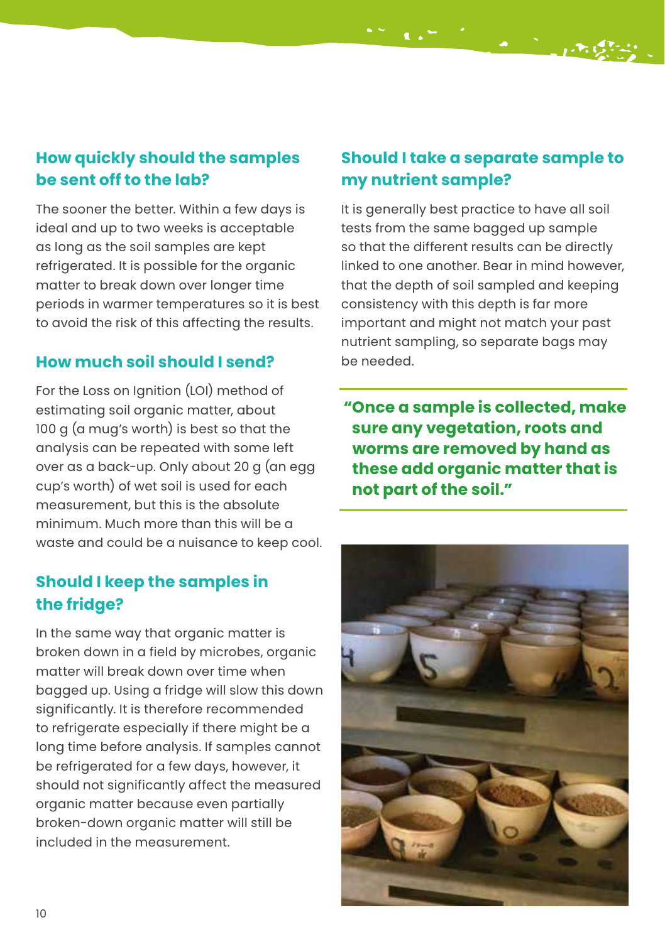#### **How quickly should the samples be sent off to the lab?**

The sooner the better. Within a few days is ideal and up to two weeks is acceptable as long as the soil samples are kept refrigerated. It is possible for the organic matter to break down over longer time periods in warmer temperatures so it is best to avoid the risk of this affecting the results.

#### **How much soil should I send?**

For the Loss on Ignition (LOI) method of estimating soil organic matter, about 100 g (a mug's worth) is best so that the analysis can be repeated with some left over as a back-up. Only about 20 g (an egg cup's worth) of wet soil is used for each measurement, but this is the absolute minimum. Much more than this will be a waste and could be a nuisance to keep cool.

#### **Should I keep the samples in the fridge?**

In the same way that organic matter is broken down in a field by microbes, organic matter will break down over time when bagged up. Using a fridge will slow this down significantly. It is therefore recommended to refrigerate especially if there might be a long time before analysis. If samples cannot be refrigerated for a few days, however, it should not significantly affect the measured organic matter because even partially broken-down organic matter will still be included in the measurement.

#### **Should I take a separate sample to my nutrient sample?**

It is generally best practice to have all soil tests from the same bagged up sample so that the different results can be directly linked to one another. Bear in mind however, that the depth of soil sampled and keeping consistency with this depth is far more important and might not match your past nutrient sampling, so separate bags may be needed.

**"Once a sample is collected, make sure any vegetation, roots and worms are removed by hand as these add organic matter that is not part of the soil."**

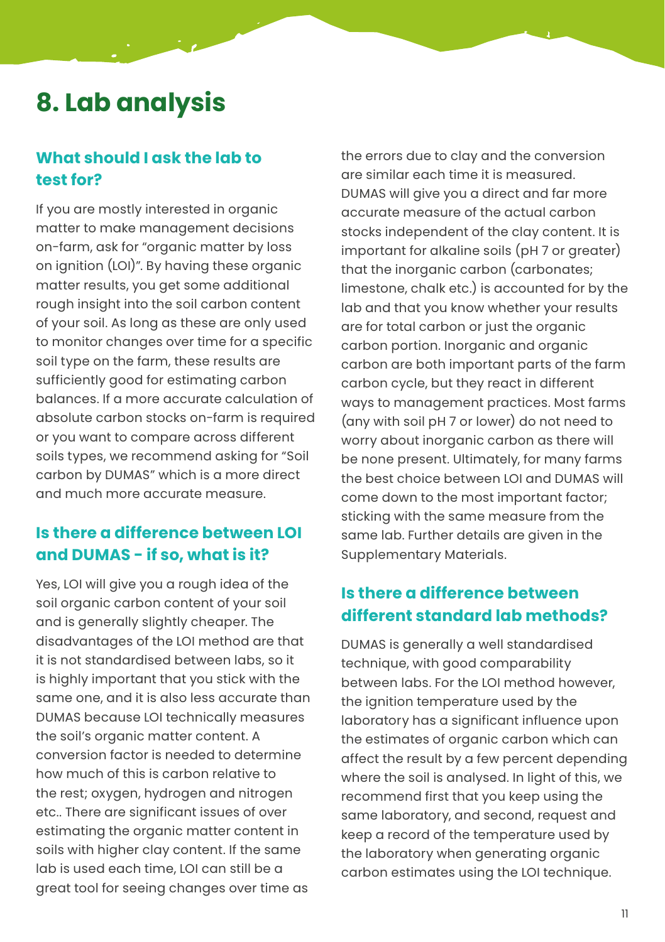### **8. Lab analysis**

#### **What should I ask the lab to test for?**

If you are mostly interested in organic matter to make management decisions on-farm, ask for "organic matter by loss on ignition (LOI)". By having these organic matter results, you get some additional rough insight into the soil carbon content of your soil. As long as these are only used to monitor changes over time for a specific soil type on the farm, these results are sufficiently good for estimating carbon balances. If a more accurate calculation of absolute carbon stocks on-farm is required or you want to compare across different soils types, we recommend asking for "Soil carbon by DUMAS" which is a more direct and much more accurate measure.

#### **Is there a difference between LOI and DUMAS - if so, what is it?**

Yes, LOI will give you a rough idea of the soil organic carbon content of your soil and is generally slightly cheaper. The disadvantages of the LOI method are that it is not standardised between labs, so it is highly important that you stick with the same one, and it is also less accurate than DUMAS because LOI technically measures the soil's organic matter content. A conversion factor is needed to determine how much of this is carbon relative to the rest; oxygen, hydrogen and nitrogen etc.. There are significant issues of over estimating the organic matter content in soils with higher clay content. If the same lab is used each time, LOI can still be a great tool for seeing changes over time as

the errors due to clay and the conversion are similar each time it is measured. DUMAS will give you a direct and far more accurate measure of the actual carbon stocks independent of the clay content. It is important for alkaline soils (pH 7 or greater) that the inorganic carbon (carbonates; limestone, chalk etc.) is accounted for by the lab and that you know whether your results are for total carbon or just the organic carbon portion. Inorganic and organic carbon are both important parts of the farm carbon cycle, but they react in different ways to management practices. Most farms (any with soil pH 7 or lower) do not need to worry about inorganic carbon as there will be none present. Ultimately, for many farms the best choice between LOI and DUMAS will come down to the most important factor; sticking with the same measure from the same lab. Further details are given in the Supplementary Materials.

#### **Is there a difference between different standard lab methods?**

DUMAS is generally a well standardised technique, with good comparability between labs. For the LOI method however, the ignition temperature used by the laboratory has a significant influence upon the estimates of organic carbon which can affect the result by a few percent depending where the soil is analysed. In light of this, we recommend first that you keep using the same laboratory, and second, request and keep a record of the temperature used by the laboratory when generating organic carbon estimates using the LOI technique.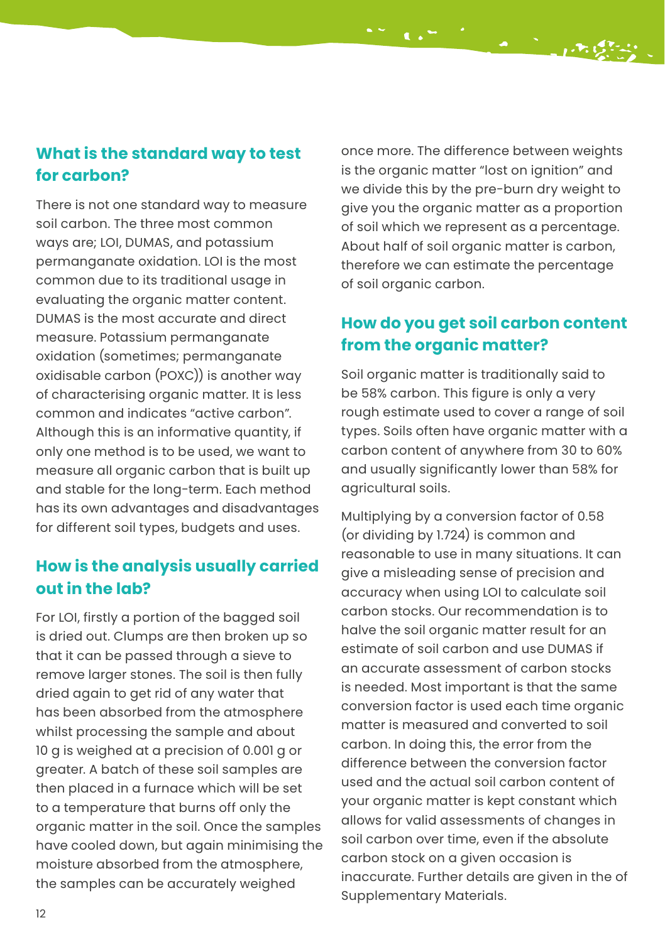#### **What is the standard way to test for carbon?**

There is not one standard way to measure soil carbon. The three most common ways are; LOI, DUMAS, and potassium permanganate oxidation. LOI is the most common due to its traditional usage in evaluating the organic matter content. DUMAS is the most accurate and direct measure. Potassium permanganate oxidation (sometimes; permanganate oxidisable carbon (POXC)) is another way of characterising organic matter. It is less common and indicates "active carbon". Although this is an informative quantity, if only one method is to be used, we want to measure all organic carbon that is built up and stable for the long-term. Each method has its own advantages and disadvantages for different soil types, budgets and uses.

#### **How is the analysis usually carried out in the lab?**

For LOI, firstly a portion of the bagged soil is dried out. Clumps are then broken up so that it can be passed through a sieve to remove larger stones. The soil is then fully dried again to get rid of any water that has been absorbed from the atmosphere whilst processing the sample and about 10 g is weighed at a precision of 0.001 g or greater. A batch of these soil samples are then placed in a furnace which will be set to a temperature that burns off only the organic matter in the soil. Once the samples have cooled down, but again minimising the moisture absorbed from the atmosphere, the samples can be accurately weighed

once more. The difference between weights is the organic matter "lost on ignition" and we divide this by the pre-burn dry weight to give you the organic matter as a proportion of soil which we represent as a percentage. About half of soil organic matter is carbon, therefore we can estimate the percentage of soil organic carbon.

#### **How do you get soil carbon content from the organic matter?**

Soil organic matter is traditionally said to be 58% carbon. This figure is only a very rough estimate used to cover a range of soil types. Soils often have organic matter with a carbon content of anywhere from 30 to 60% and usually significantly lower than 58% for agricultural soils.

Multiplying by a conversion factor of 0.58 (or dividing by 1.724) is common and reasonable to use in many situations. It can give a misleading sense of precision and accuracy when using LOI to calculate soil carbon stocks. Our recommendation is to halve the soil organic matter result for an estimate of soil carbon and use DUMAS if an accurate assessment of carbon stocks is needed. Most important is that the same conversion factor is used each time organic matter is measured and converted to soil carbon. In doing this, the error from the difference between the conversion factor used and the actual soil carbon content of your organic matter is kept constant which allows for valid assessments of changes in soil carbon over time, even if the absolute carbon stock on a given occasion is inaccurate. Further details are given in the of Supplementary Materials.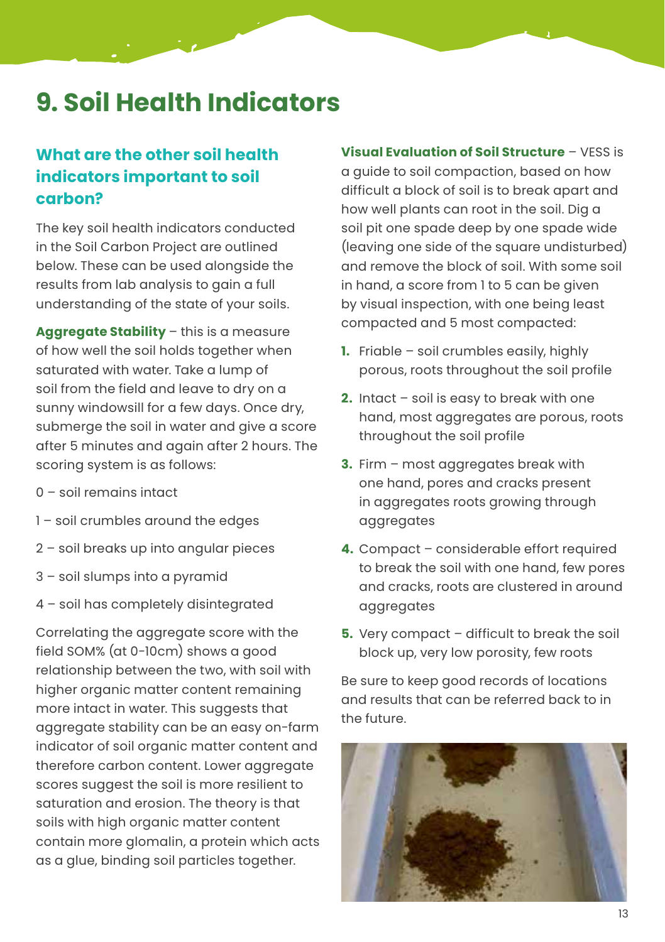### **9. Soil Health Indicators**

#### **What are the other soil health indicators important to soil carbon?**

The key soil health indicators conducted in the Soil Carbon Project are outlined below. These can be used alongside the results from lab analysis to gain a full understanding of the state of your soils.

**Aggregate Stability** – this is a measure of how well the soil holds together when saturated with water. Take a lump of soil from the field and leave to dry on a sunny windowsill for a few days. Once dry, submerge the soil in water and give a score after 5 minutes and again after 2 hours. The scoring system is as follows:

- 0 soil remains intact
- 1 soil crumbles around the edges
- 2 soil breaks up into angular pieces
- 3 soil slumps into a pyramid
- 4 soil has completely disintegrated

Correlating the aggregate score with the field SOM% (at 0-10cm) shows a good relationship between the two, with soil with higher organic matter content remaining more intact in water. This suggests that aggregate stability can be an easy on-farm indicator of soil organic matter content and therefore carbon content. Lower aggregate scores suggest the soil is more resilient to saturation and erosion. The theory is that soils with high organic matter content contain more glomalin, a protein which acts as a glue, binding soil particles together.

**Visual Evaluation of Soil Structure** – VESS is a guide to soil compaction, based on how difficult a block of soil is to break apart and how well plants can root in the soil. Dig a soil pit one spade deep by one spade wide (leaving one side of the square undisturbed) and remove the block of soil. With some soil in hand, a score from 1 to 5 can be given by visual inspection, with one being least compacted and 5 most compacted:

- **1.** Friable soil crumbles easily, highly porous, roots throughout the soil profile
- **2.** Intact soil is easy to break with one hand, most aggregates are porous, roots throughout the soil profile
- **3.** Firm most aggregates break with one hand, pores and cracks present in aggregates roots growing through aggregates
- **4.** Compact considerable effort required to break the soil with one hand, few pores and cracks, roots are clustered in around aggregates
- **5.** Very compact difficult to break the soil block up, very low porosity, few roots

Be sure to keep good records of locations and results that can be referred back to in the future.

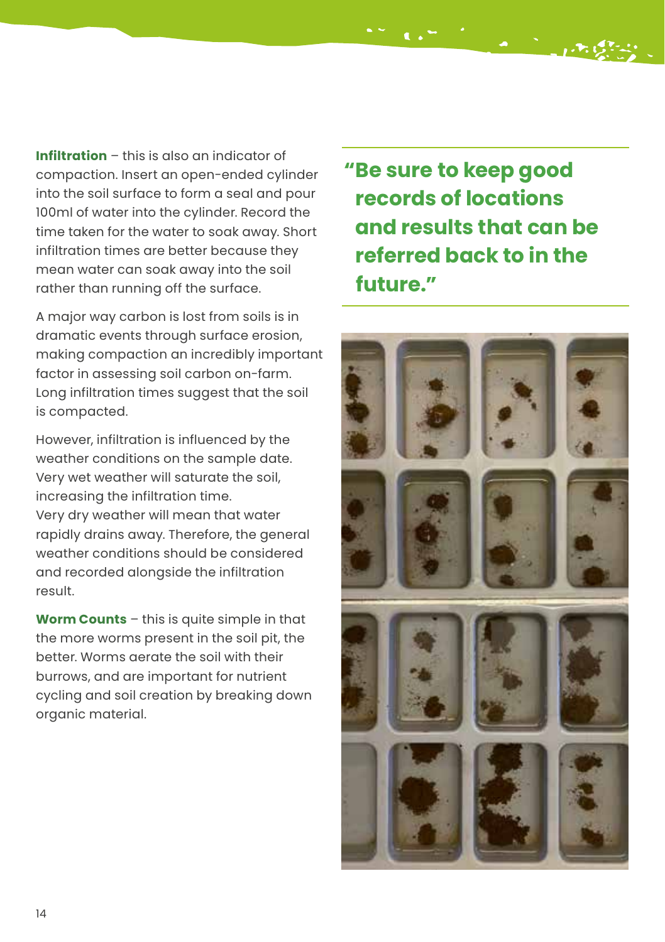**Infiltration** – this is also an indicator of compaction. Insert an open-ended cylinder into the soil surface to form a seal and pour 100ml of water into the cylinder. Record the time taken for the water to soak away. Short infiltration times are better because they mean water can soak away into the soil rather than running off the surface.

A major way carbon is lost from soils is in dramatic events through surface erosion, making compaction an incredibly important factor in assessing soil carbon on-farm. Long infiltration times suggest that the soil is compacted.

However, infiltration is influenced by the weather conditions on the sample date. Very wet weather will saturate the soil, increasing the infiltration time. Very dry weather will mean that water rapidly drains away. Therefore, the general weather conditions should be considered and recorded alongside the infiltration result.

**Worm Counts** – this is quite simple in that the more worms present in the soil pit, the better. Worms aerate the soil with their burrows, and are important for nutrient cycling and soil creation by breaking down organic material.

**"Be sure to keep good records of locations and results that can be referred back to in the future."**

 $\mathcal{L}(\mathcal{L}^{(n-1)}) = \mathcal{L}^{(n-1)}$  , which

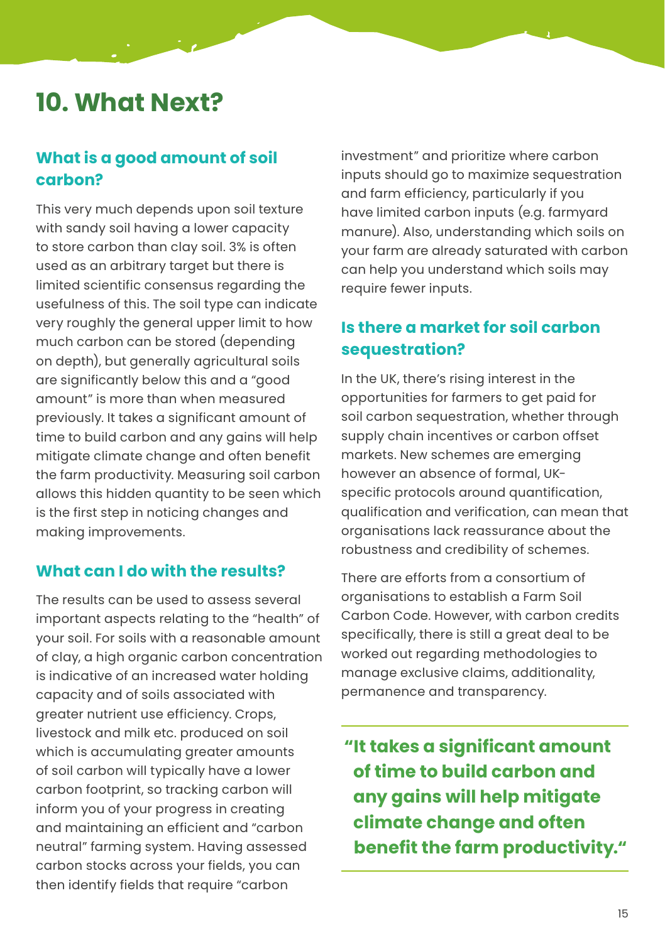### **10. What Next?**

#### **What is a good amount of soil carbon?**

This very much depends upon soil texture with sandy soil having a lower capacity to store carbon than clay soil. 3% is often used as an arbitrary target but there is limited scientific consensus regarding the usefulness of this. The soil type can indicate very roughly the general upper limit to how much carbon can be stored (depending on depth), but generally agricultural soils are significantly below this and a "good amount" is more than when measured previously. It takes a significant amount of time to build carbon and any gains will help mitigate climate change and often benefit the farm productivity. Measuring soil carbon allows this hidden quantity to be seen which is the first step in noticing changes and making improvements.

#### **What can I do with the results?**

The results can be used to assess several important aspects relating to the "health" of your soil. For soils with a reasonable amount of clay, a high organic carbon concentration is indicative of an increased water holding capacity and of soils associated with greater nutrient use efficiency. Crops, livestock and milk etc. produced on soil which is accumulating greater amounts of soil carbon will typically have a lower carbon footprint, so tracking carbon will inform you of your progress in creating and maintaining an efficient and "carbon neutral" farming system. Having assessed carbon stocks across your fields, you can then identify fields that require "carbon

investment" and prioritize where carbon inputs should go to maximize sequestration and farm efficiency, particularly if you have limited carbon inputs (e.g. farmyard manure). Also, understanding which soils on your farm are already saturated with carbon can help you understand which soils may require fewer inputs.

#### **Is there a market for soil carbon sequestration?**

In the UK, there's rising interest in the opportunities for farmers to get paid for soil carbon sequestration, whether through supply chain incentives or carbon offset markets. New schemes are emerging however an absence of formal, UKspecific protocols around quantification, qualification and verification, can mean that organisations lack reassurance about the robustness and credibility of schemes.

There are efforts from a consortium of organisations to establish a Farm Soil Carbon Code. However, with carbon credits specifically, there is still a great deal to be worked out regarding methodologies to manage exclusive claims, additionality, permanence and transparency.

**"It takes a significant amount of time to build carbon and any gains will help mitigate climate change and often benefit the farm productivity."**